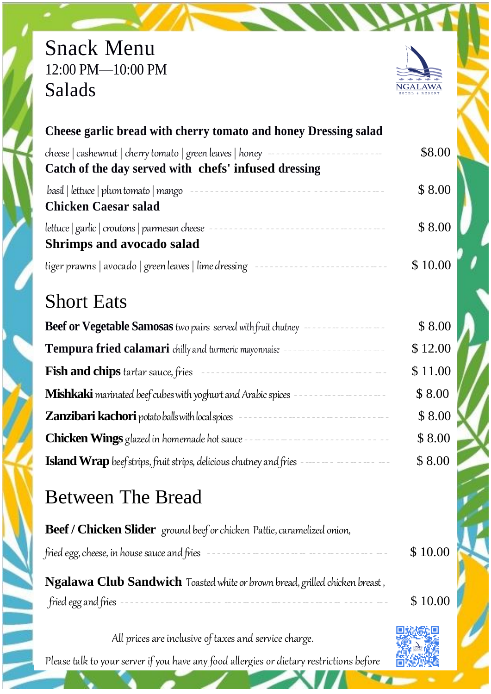## Snack Menu 12:00 PM—10:00 PM Salads



| Cheese garlic bread with cherry tomato and honey Dressing salad                                                                                                                                                                                                                       |         |
|---------------------------------------------------------------------------------------------------------------------------------------------------------------------------------------------------------------------------------------------------------------------------------------|---------|
| Catch of the day served with chefs' infused dressing                                                                                                                                                                                                                                  | \$8.00  |
| basil   lettuce   plum tomato   mango<br><b>Chicken Caesar salad</b>                                                                                                                                                                                                                  | \$ 8.00 |
| lettuce   garlic   croutons   parmesan cheese<br><b>Shrimps and avocado salad</b>                                                                                                                                                                                                     | \$ 8.00 |
| tiger prawns   avocado   green leaves   lime dressing   $\frac{1}{2}$   $\frac{1}{2}$   $\frac{1}{2}$   $\frac{1}{2}$   $\frac{1}{2}$   $\frac{1}{2}$   $\frac{1}{2}$   $\frac{1}{2}$   $\frac{1}{2}$   $\frac{1}{2}$   $\frac{1}{2}$   $\frac{1}{2}$   $\frac{1}{2}$   $\frac{1}{2}$ | \$10.00 |

## Short Eats

| Beef or Vegetable Samosas two pairs served with fruit chutney             | \$8.00  |
|---------------------------------------------------------------------------|---------|
| Tempura fried calamari chilly and turmeric mayonnaise -                   | \$12.00 |
| <b>Fish and chips</b> tartar sauce, fries                                 | \$11.00 |
| Mishkaki marinated beef cubes with yoghurt and Arabic spices              | \$8.00  |
| <b>Zanzibari kachori</b> potato balls with local spices                   | \$8.00  |
| <b>Chicken Wings</b> glazed in homemade hot sauce                         | \$8.00  |
| <b>Island Wrap</b> beef strips, fruit strips, delicious chutney and fries | \$8.00  |

# Between The Bread

| <b>Beef / Chicken Slider</b> ground beef or chicken Pattie, caramelized onion, |         |
|--------------------------------------------------------------------------------|---------|
|                                                                                | \$10.00 |
| Ngalawa Club Sandwich Toasted white or brown bread, grilled chicken breast,    |         |
|                                                                                | \$10.00 |
|                                                                                |         |

All prices are inclusive of taxes and service charge.

Please talk to your server if you have any food allergies or dietary restrictions before